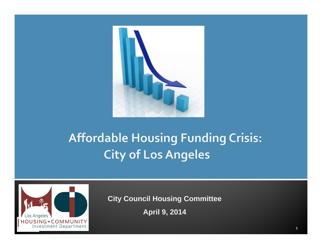

# **Affordable Housing Funding Crisis: City of Los Angeles**



**City Council Housing Committee**

**April 9, 2014**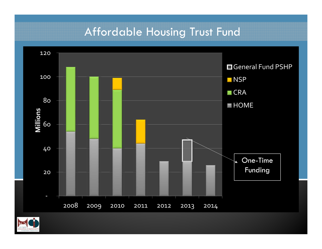# Affordable Housing Trust Fund



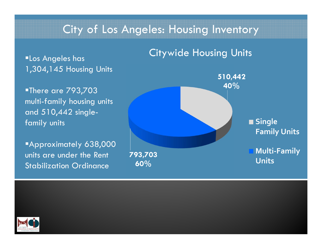# City of Los Angeles: Housing Inventory

**"Los Angeles has** 1,304,145 Housing Units

**-There are 793,703** multi-family housing units and 510,442 singlefamily units

Approximately 638,000 units are under the Rent Stabilization Ordinance



Citywide Housing Units

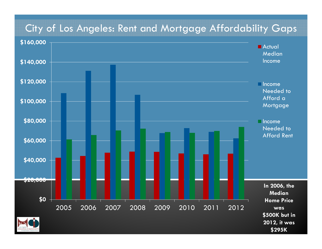#### City of Los Angeles: Rent and Mortgage Affordability Gaps **\$160,000** ■ Actual MedianIncome

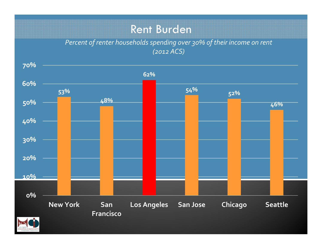# Rent Burden

*Percent of renter households spending over 30% of their income on rent (2012 ACS)*

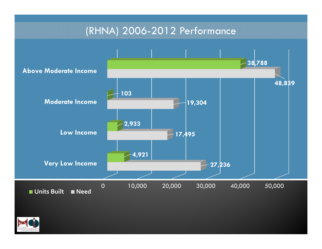# (RHNA) 2006-2012 Performance



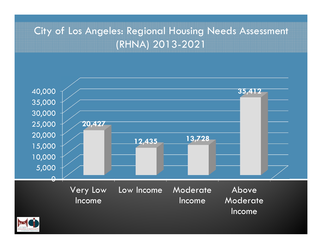# City of Los Angeles: Regional Housing Needs Assessment (RHNA) 2013-2021



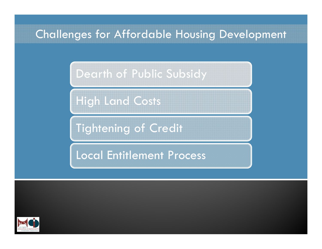## Challenges for Affordable Housing Development

Dearth of Public Subsidy

High Land Costs

Tightening of Credit

Local Entitlement Process

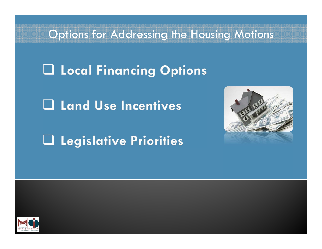Options for Addressing the Housing Motions

Q Local Financing Options

**Q** Land Use Incentives

**Q** Legislative Priorities



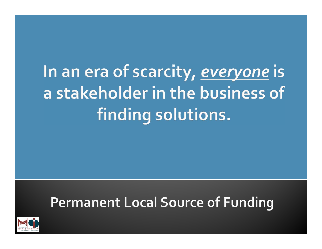# In an era of scarcity, everyone is a stakeholder in the business of finding solutions.

# **Permanent Local Source of Funding**

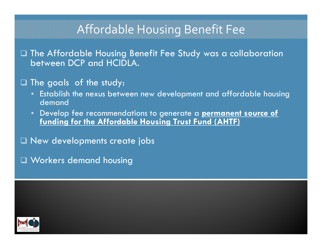# Affordable Housing Benefit Fee

 The Affordable Housing Benefit Fee Study was a collaboration between DCP and HCIDLA.

#### $\square$  The goals of the study:

- Establish the nexus between new development and affordable housing demand
- Develop fee recommendations to generate a **permanent source of funding for the Affordable Housing Trust Fund (AHTF)**

New developments create jobs

Workers demand housing

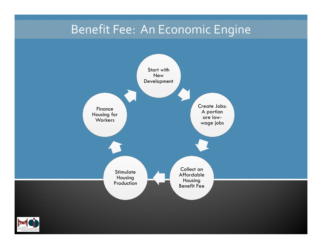# Benefit Fee: An Economic Engine



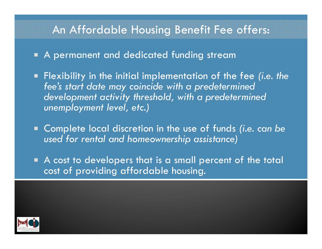### An Affordable Housing Benefit Fee offers:

- **A** permanent and dedicated funding stream
- Flexibility in the initial implementation of the fee *(i.e. the fee's start date may coincide with a predetermined development activity threshold, with a predetermined unemployment level, etc.)*
- о Complete local discretion in the use of funds *(i.e. can be used for rental and homeownership assistance)*
- A cost to developers that is a small percent of the total cost of providing affordable housing.

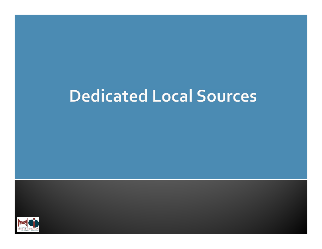# **Dedicated Local Sources**

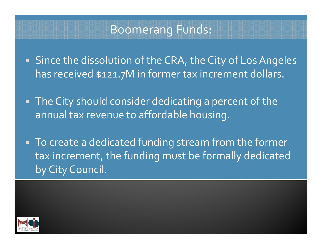# Boomerang Funds:

- Since the dissolution of the CRA, the City of Los Angeles has received \$121.7M in former tax increment dollars.
- The City should consider dedicating <sup>a</sup> percen<sup>t</sup> of the annual tax revenue to affordable housing.
- To create <sup>a</sup> dedicated funding stream from the former tax increment, the funding must be formally dedicated by City Council.

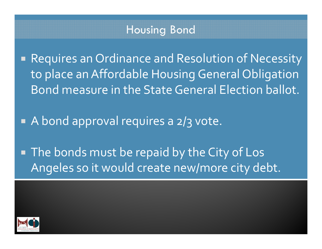### Housing Bond

e. Requires an Ordinance and Resolution of Necessity to place an Affordable Housing General Obligation Bond measure in the State General Election ballot.

**A** bond approval requires a 2/3 vote.

e. The bonds must be repaid by the City of Los Angeles so it would create new/more city debt.

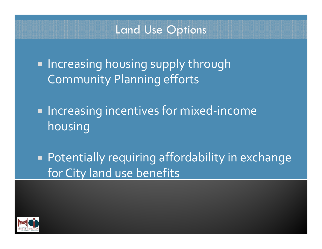### Land Use Options

 $\blacksquare$  Increasing housing supply through Community Planning efforts

■ Increasing incentives for mixed-income housing

 Potentially requiring affordability in exchange for City land use benefits

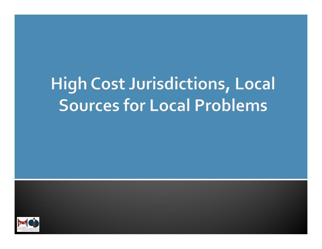# **High Cost Jurisdictions, Local Sources for Local Problems**